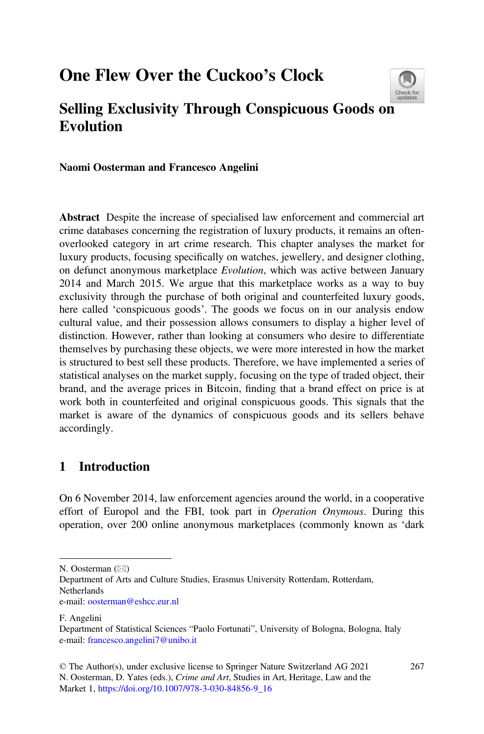# One Flew Over the Cuckoo's Clock



## Selling Exclusivity Through Conspicuous Goods o[n](http://crossmark.crossref.org/dialog/?doi=10.1007/978-3-030-84856-9_16&domain=pdf) Evolution

Naomi Oosterman and Francesco Angelini

Abstract Despite the increase of specialised law enforcement and commercial art crime databases concerning the registration of luxury products, it remains an oftenoverlooked category in art crime research. This chapter analyses the market for luxury products, focusing specifically on watches, jewellery, and designer clothing, on defunct anonymous marketplace *Evolution*, which was active between January 2014 and March 2015. We argue that this marketplace works as a way to buy exclusivity through the purchase of both original and counterfeited luxury goods, here called 'conspicuous goods'. The goods we focus on in our analysis endow cultural value, and their possession allows consumers to display a higher level of distinction. However, rather than looking at consumers who desire to differentiate themselves by purchasing these objects, we were more interested in how the market is structured to best sell these products. Therefore, we have implemented a series of statistical analyses on the market supply, focusing on the type of traded object, their brand, and the average prices in Bitcoin, finding that a brand effect on price is at work both in counterfeited and original conspicuous goods. This signals that the market is aware of the dynamics of conspicuous goods and its sellers behave accordingly.

### 1 Introduction

On 6 November 2014, law enforcement agencies around the world, in a cooperative effort of Europol and the FBI, took part in *Operation Onymous*. During this operation, over 200 online anonymous marketplaces (commonly known as 'dark

F. Angelini

N. Oosterman  $(\boxtimes)$ 

Department of Arts and Culture Studies, Erasmus University Rotterdam, Rotterdam, **Netherlands** e-mail: [oosterman@eshcc.eur.nl](mailto:oosterman@eshcc.eur.nl)

Department of Statistical Sciences "Paolo Fortunati", University of Bologna, Bologna, Italy e-mail: [francesco.angelini7@unibo.it](mailto:francesco.angelini7@unibo.it)

<sup>©</sup> The Author(s), under exclusive license to Springer Nature Switzerland AG 2021 N. Oosterman, D. Yates (eds.), *Crime and Art*, Studies in Art, Heritage, Law and the Market 1, [https://doi.org/10.1007/978-3-030-84856-9\\_16](https://doi.org/10.1007/978-3-030-84856-9_16#DOI)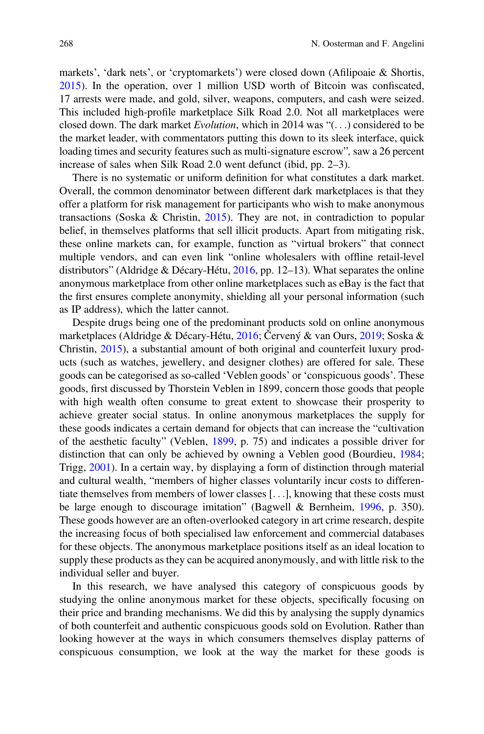markets', 'dark nets', or 'cryptomarkets') were closed down (Afilipoaie & Shortis, [2015\)](#page-16-0). In the operation, over 1 million USD worth of Bitcoin was confiscated, 17 arrests were made, and gold, silver, weapons, computers, and cash were seized. This included high-profile marketplace Silk Road 2.0. Not all marketplaces were closed down. The dark market *Evolution*, which in 2014 was "(...) considered to be the market leader, with commentators putting this down to its sleek interface, quick loading times and security features such as multi-signature escrow"*,* saw a 26 percent increase of sales when Silk Road 2.0 went defunct (ibid, pp. 2–3).

There is no systematic or uniform definition for what constitutes a dark market. Overall, the common denominator between different dark marketplaces is that they offer a platform for risk management for participants who wish to make anonymous transactions (Soska & Christin, [2015](#page-17-0)). They are not, in contradiction to popular belief, in themselves platforms that sell illicit products. Apart from mitigating risk, these online markets can, for example, function as "virtual brokers" that connect multiple vendors, and can even link "online wholesalers with offline retail-level distributors" (Aldridge & Décary-Hétu, [2016,](#page-16-0) pp. 12–13). What separates the online anonymous marketplace from other online marketplaces such as eBay is the fact that the first ensures complete anonymity, shielding all your personal information (such as IP address), which the latter cannot.

Despite drugs being one of the predominant products sold on online anonymous marketplaces (Aldridge & Décary-Hétu, [2016;](#page-16-0) Červený & van Ours, [2019;](#page-16-0) Soska & Christin, [2015](#page-17-0)), a substantial amount of both original and counterfeit luxury products (such as watches, jewellery, and designer clothes) are offered for sale. These goods can be categorised as so-called 'Veblen goods' or 'conspicuous goods'. These goods, first discussed by Thorstein Veblen in 1899, concern those goods that people with high wealth often consume to great extent to showcase their prosperity to achieve greater social status. In online anonymous marketplaces the supply for these goods indicates a certain demand for objects that can increase the "cultivation of the aesthetic faculty" (Veblen, [1899](#page-17-0), p. 75) and indicates a possible driver for distinction that can only be achieved by owning a Veblen good (Bourdieu, [1984;](#page-16-0) Trigg, [2001\)](#page-17-0). In a certain way, by displaying a form of distinction through material and cultural wealth, "members of higher classes voluntarily incur costs to differentiate themselves from members of lower classes [...], knowing that these costs must be large enough to discourage imitation" (Bagwell & Bernheim, [1996](#page-16-0), p. 350). These goods however are an often-overlooked category in art crime research, despite the increasing focus of both specialised law enforcement and commercial databases for these objects. The anonymous marketplace positions itself as an ideal location to supply these products as they can be acquired anonymously, and with little risk to the individual seller and buyer.

In this research, we have analysed this category of conspicuous goods by studying the online anonymous market for these objects, specifically focusing on their price and branding mechanisms. We did this by analysing the supply dynamics of both counterfeit and authentic conspicuous goods sold on Evolution. Rather than looking however at the ways in which consumers themselves display patterns of conspicuous consumption, we look at the way the market for these goods is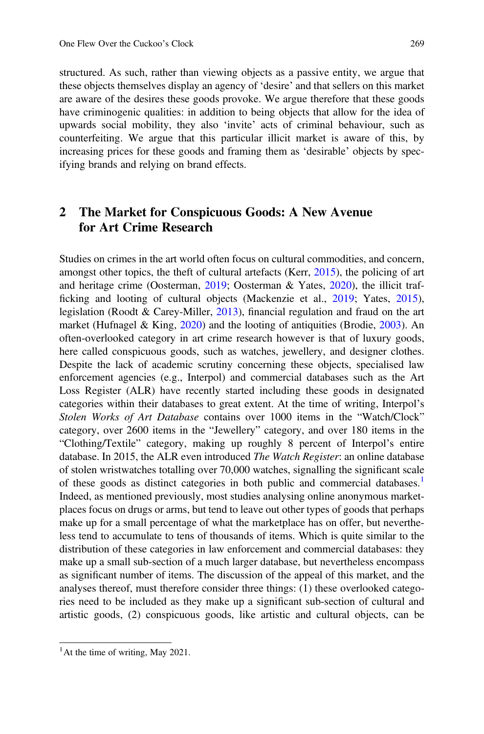structured. As such, rather than viewing objects as a passive entity, we argue that these objects themselves display an agency of 'desire' and that sellers on this market are aware of the desires these goods provoke. We argue therefore that these goods have criminogenic qualities: in addition to being objects that allow for the idea of upwards social mobility, they also 'invite' acts of criminal behaviour, such as counterfeiting. We argue that this particular illicit market is aware of this, by increasing prices for these goods and framing them as 'desirable' objects by specifying brands and relying on brand effects.

### 2 The Market for Conspicuous Goods: A New Avenue for Art Crime Research

Studies on crimes in the art world often focus on cultural commodities, and concern, amongst other topics, the theft of cultural artefacts (Kerr, [2015](#page-16-0)), the policing of art and heritage crime (Oosterman, [2019](#page-16-0); Oosterman & Yates, [2020](#page-16-0)), the illicit trafficking and looting of cultural objects (Mackenzie et al., [2019;](#page-16-0) Yates, [2015\)](#page-17-0), legislation (Roodt & Carey-Miller, [2013](#page-16-0)), financial regulation and fraud on the art market (Hufnagel & King, [2020\)](#page-16-0) and the looting of antiquities (Brodie, [2003\)](#page-16-0). An often-overlooked category in art crime research however is that of luxury goods, here called conspicuous goods, such as watches, jewellery, and designer clothes. Despite the lack of academic scrutiny concerning these objects, specialised law enforcement agencies (e.g., Interpol) and commercial databases such as the Art Loss Register (ALR) have recently started including these goods in designated categories within their databases to great extent. At the time of writing, Interpol's *Stolen Works of Art Database* contains over 1000 items in the "Watch/Clock" category, over 2600 items in the "Jewellery" category, and over 180 items in the "Clothing/Textile" category, making up roughly 8 percent of Interpol's entire database. In 2015, the ALR even introduced *The Watch Register*: an online database of stolen wristwatches totalling over 70,000 watches, signalling the significant scale of these goods as distinct categories in both public and commercial databases.<sup>1</sup> Indeed, as mentioned previously, most studies analysing online anonymous marketplaces focus on drugs or arms, but tend to leave out other types of goods that perhaps make up for a small percentage of what the marketplace has on offer, but nevertheless tend to accumulate to tens of thousands of items. Which is quite similar to the distribution of these categories in law enforcement and commercial databases: they make up a small sub-section of a much larger database, but nevertheless encompass as significant number of items. The discussion of the appeal of this market, and the analyses thereof, must therefore consider three things: (1) these overlooked categories need to be included as they make up a significant sub-section of cultural and artistic goods, (2) conspicuous goods, like artistic and cultural objects, can be

 $<sup>1</sup>$ At the time of writing, May 2021.</sup>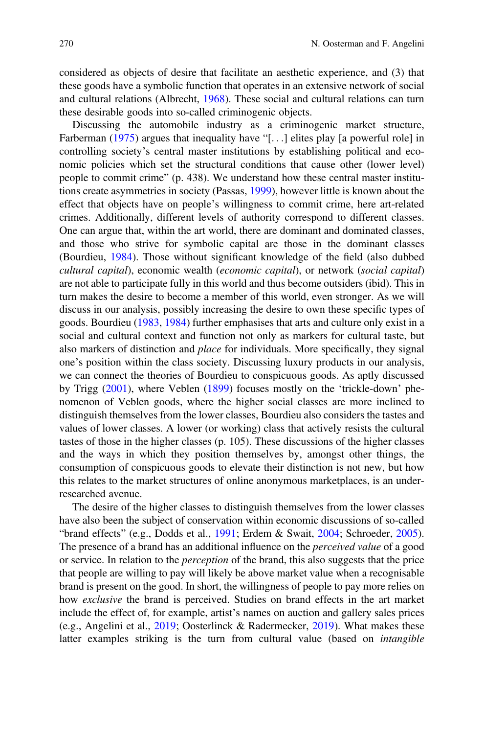considered as objects of desire that facilitate an aesthetic experience, and (3) that these goods have a symbolic function that operates in an extensive network of social and cultural relations (Albrecht, [1968](#page-16-0)). These social and cultural relations can turn these desirable goods into so-called criminogenic objects.

Discussing the automobile industry as a criminogenic market structure, Farberman ([1975\)](#page-16-0) argues that inequality have "[...] elites play [a powerful role] in controlling society's central master institutions by establishing political and economic policies which set the structural conditions that cause other (lower level) people to commit crime" (p. 438). We understand how these central master institutions create asymmetries in society (Passas, [1999\)](#page-16-0), however little is known about the effect that objects have on people's willingness to commit crime, here art-related crimes. Additionally, different levels of authority correspond to different classes. One can argue that, within the art world, there are dominant and dominated classes, and those who strive for symbolic capital are those in the dominant classes (Bourdieu, [1984](#page-16-0)). Those without significant knowledge of the field (also dubbed *cultural capital*), economic wealth (*economic capital*), or network (*social capital*) are not able to participate fully in this world and thus become outsiders (ibid). This in turn makes the desire to become a member of this world, even stronger. As we will discuss in our analysis, possibly increasing the desire to own these specific types of goods. Bourdieu ([1983,](#page-16-0) [1984](#page-16-0)) further emphasises that arts and culture only exist in a social and cultural context and function not only as markers for cultural taste, but also markers of distinction and *place* for individuals. More specifically, they signal one's position within the class society. Discussing luxury products in our analysis, we can connect the theories of Bourdieu to conspicuous goods. As aptly discussed by Trigg [\(2001](#page-17-0)), where Veblen [\(1899](#page-17-0)) focuses mostly on the 'trickle-down' phenomenon of Veblen goods, where the higher social classes are more inclined to distinguish themselves from the lower classes, Bourdieu also considers the tastes and values of lower classes. A lower (or working) class that actively resists the cultural tastes of those in the higher classes (p. 105). These discussions of the higher classes and the ways in which they position themselves by, amongst other things, the consumption of conspicuous goods to elevate their distinction is not new, but how this relates to the market structures of online anonymous marketplaces, is an underresearched avenue.

The desire of the higher classes to distinguish themselves from the lower classes have also been the subject of conservation within economic discussions of so-called "brand effects" (e.g., Dodds et al., [1991;](#page-16-0) Erdem & Swait, [2004;](#page-16-0) Schroeder, [2005\)](#page-16-0). The presence of a brand has an additional influence on the *perceived value* of a good or service. In relation to the *perception* of the brand, this also suggests that the price that people are willing to pay will likely be above market value when a recognisable brand is present on the good. In short, the willingness of people to pay more relies on how *exclusive* the brand is perceived. Studies on brand effects in the art market include the effect of, for example, artist's names on auction and gallery sales prices (e.g., Angelini et al., [2019;](#page-16-0) Oosterlinck & Radermecker, [2019\)](#page-16-0). What makes these latter examples striking is the turn from cultural value (based on *intangible*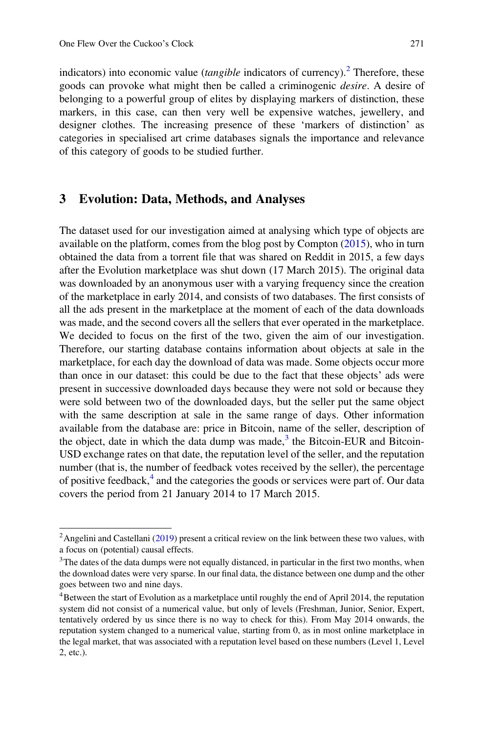indicators) into economic value (*tangible* indicators of currency).<sup>2</sup> Therefore, these goods can provoke what might then be called a criminogenic *desire*. A desire of belonging to a powerful group of elites by displaying markers of distinction, these markers, in this case, can then very well be expensive watches, jewellery, and designer clothes. The increasing presence of these 'markers of distinction' as categories in specialised art crime databases signals the importance and relevance of this category of goods to be studied further.

#### 3 Evolution: Data, Methods, and Analyses

The dataset used for our investigation aimed at analysing which type of objects are available on the platform, comes from the blog post by Compton ([2015\)](#page-16-0), who in turn obtained the data from a torrent file that was shared on Reddit in 2015, a few days after the Evolution marketplace was shut down (17 March 2015). The original data was downloaded by an anonymous user with a varying frequency since the creation of the marketplace in early 2014, and consists of two databases. The first consists of all the ads present in the marketplace at the moment of each of the data downloads was made, and the second covers all the sellers that ever operated in the marketplace. We decided to focus on the first of the two, given the aim of our investigation. Therefore, our starting database contains information about objects at sale in the marketplace, for each day the download of data was made. Some objects occur more than once in our dataset: this could be due to the fact that these objects' ads were present in successive downloaded days because they were not sold or because they were sold between two of the downloaded days, but the seller put the same object with the same description at sale in the same range of days. Other information available from the database are: price in Bitcoin, name of the seller, description of the object, date in which the data dump was made, $3$  the Bitcoin-EUR and Bitcoin-USD exchange rates on that date, the reputation level of the seller, and the reputation number (that is, the number of feedback votes received by the seller), the percentage of positive feedback,<sup>4</sup> and the categories the goods or services were part of. Our data covers the period from 21 January 2014 to 17 March 2015.

<sup>&</sup>lt;sup>2</sup> Angelini and Castellani [\(2019](#page-16-0)) present a critical review on the link between these two values, with a focus on (potential) causal effects.

<sup>&</sup>lt;sup>3</sup>The dates of the data dumps were not equally distanced, in particular in the first two months, when the download dates were very sparse. In our final data, the distance between one dump and the other goes between two and nine days.

<sup>&</sup>lt;sup>4</sup>Between the start of Evolution as a marketplace until roughly the end of April 2014, the reputation system did not consist of a numerical value, but only of levels (Freshman, Junior, Senior, Expert, tentatively ordered by us since there is no way to check for this). From May 2014 onwards, the reputation system changed to a numerical value, starting from 0, as in most online marketplace in the legal market, that was associated with a reputation level based on these numbers (Level 1, Level 2, etc.).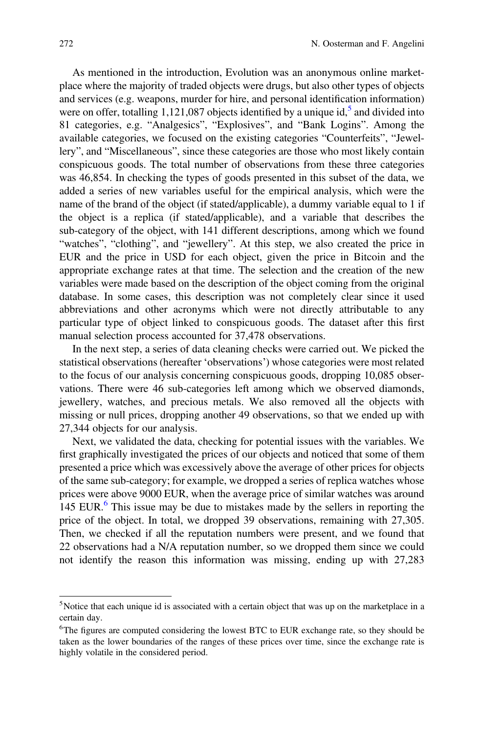As mentioned in the introduction, Evolution was an anonymous online marketplace where the majority of traded objects were drugs, but also other types of objects and services (e.g. weapons, murder for hire, and personal identification information) were on offer, totalling 1,121,087 objects identified by a unique id,<sup>5</sup> and divided into 81 categories, e.g. "Analgesics", "Explosives", and "Bank Logins". Among the available categories, we focused on the existing categories "Counterfeits", "Jewellery", and "Miscellaneous", since these categories are those who most likely contain conspicuous goods. The total number of observations from these three categories was 46,854. In checking the types of goods presented in this subset of the data, we added a series of new variables useful for the empirical analysis, which were the name of the brand of the object (if stated/applicable), a dummy variable equal to 1 if the object is a replica (if stated/applicable), and a variable that describes the sub-category of the object, with 141 different descriptions, among which we found "watches", "clothing", and "jewellery". At this step, we also created the price in EUR and the price in USD for each object, given the price in Bitcoin and the appropriate exchange rates at that time. The selection and the creation of the new variables were made based on the description of the object coming from the original database. In some cases, this description was not completely clear since it used abbreviations and other acronyms which were not directly attributable to any particular type of object linked to conspicuous goods. The dataset after this first manual selection process accounted for 37,478 observations.

In the next step, a series of data cleaning checks were carried out. We picked the statistical observations (hereafter 'observations') whose categories were most related to the focus of our analysis concerning conspicuous goods, dropping 10,085 observations. There were 46 sub-categories left among which we observed diamonds, jewellery, watches, and precious metals. We also removed all the objects with missing or null prices, dropping another 49 observations, so that we ended up with 27,344 objects for our analysis.

Next, we validated the data, checking for potential issues with the variables. We first graphically investigated the prices of our objects and noticed that some of them presented a price which was excessively above the average of other prices for objects of the same sub-category; for example, we dropped a series of replica watches whose prices were above 9000 EUR, when the average price of similar watches was around 145 EUR.<sup>6</sup> This issue may be due to mistakes made by the sellers in reporting the price of the object. In total, we dropped 39 observations, remaining with 27,305. Then, we checked if all the reputation numbers were present, and we found that 22 observations had a N/A reputation number, so we dropped them since we could not identify the reason this information was missing, ending up with 27,283

<sup>&</sup>lt;sup>5</sup>Notice that each unique id is associated with a certain object that was up on the marketplace in a certain day.

<sup>&</sup>lt;sup>6</sup>The figures are computed considering the lowest BTC to EUR exchange rate, so they should be taken as the lower boundaries of the ranges of these prices over time, since the exchange rate is highly volatile in the considered period.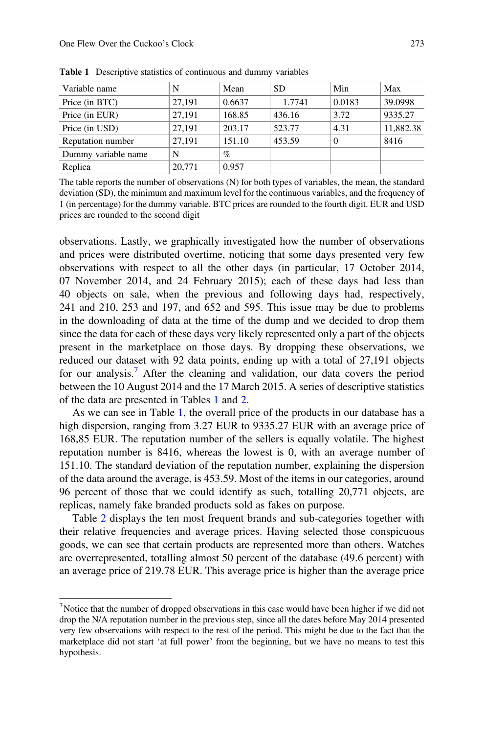| Variable name       | N      | Mean   | <b>SD</b> | Min      | Max       |
|---------------------|--------|--------|-----------|----------|-----------|
| Price (in BTC)      | 27.191 | 0.6637 | 1.7741    | 0.0183   | 39.0998   |
| Price (in EUR)      | 27.191 | 168.85 | 436.16    | 3.72     | 9335.27   |
| Price (in USD)      | 27.191 | 203.17 | 523.77    | 4.31     | 11,882.38 |
| Reputation number   | 27.191 | 151.10 | 453.59    | $\Omega$ | 8416      |
| Dummy variable name | N      | $\%$   |           |          |           |
| Replica             | 20.771 | 0.957  |           |          |           |

<span id="page-6-0"></span>Table 1 Descriptive statistics of continuous and dummy variables

The table reports the number of observations (N) for both types of variables, the mean, the standard deviation (SD), the minimum and maximum level for the continuous variables, and the frequency of 1 (in percentage) for the dummy variable. BTC prices are rounded to the fourth digit. EUR and USD prices are rounded to the second digit

observations. Lastly, we graphically investigated how the number of observations and prices were distributed overtime, noticing that some days presented very few observations with respect to all the other days (in particular, 17 October 2014, 07 November 2014, and 24 February 2015); each of these days had less than 40 objects on sale, when the previous and following days had, respectively, 241 and 210, 253 and 197, and 652 and 595. This issue may be due to problems in the downloading of data at the time of the dump and we decided to drop them since the data for each of these days very likely represented only a part of the objects present in the marketplace on those days. By dropping these observations, we reduced our dataset with 92 data points, ending up with a total of 27,191 objects for our analysis.<sup>7</sup> After the cleaning and validation, our data covers the period between the 10 August 2014 and the 17 March 2015. A series of descriptive statistics of the data are presented in Tables 1 and [2.](#page-7-0)

As we can see in Table 1, the overall price of the products in our database has a high dispersion, ranging from 3.27 EUR to 9335.27 EUR with an average price of 168,85 EUR. The reputation number of the sellers is equally volatile. The highest reputation number is 8416, whereas the lowest is 0, with an average number of 151.10. The standard deviation of the reputation number, explaining the dispersion of the data around the average, is 453.59. Most of the items in our categories, around 96 percent of those that we could identify as such, totalling 20,771 objects, are replicas, namely fake branded products sold as fakes on purpose.

Table [2](#page-7-0) displays the ten most frequent brands and sub-categories together with their relative frequencies and average prices. Having selected those conspicuous goods, we can see that certain products are represented more than others. Watches are overrepresented, totalling almost 50 percent of the database (49.6 percent) with an average price of 219.78 EUR. This average price is higher than the average price

 $<sup>7</sup>$ Notice that the number of dropped observations in this case would have been higher if we did not</sup> drop the N/A reputation number in the previous step, since all the dates before May 2014 presented very few observations with respect to the rest of the period. This might be due to the fact that the marketplace did not start 'at full power' from the beginning, but we have no means to test this hypothesis.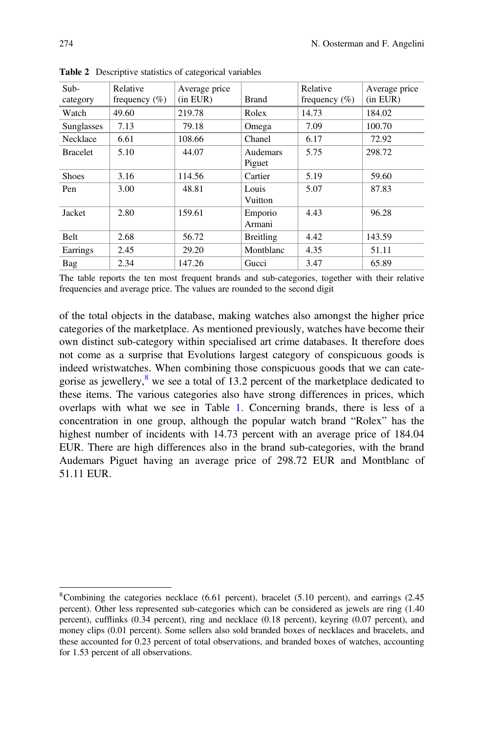| $Sub-$<br>category | Relative<br>frequency $(\% )$ | Average price<br>(in EUR) | <b>Brand</b>       | Relative<br>frequency $(\% )$ | Average price<br>$(in$ EUR $)$ |
|--------------------|-------------------------------|---------------------------|--------------------|-------------------------------|--------------------------------|
| Watch              | 49.60                         | 219.78                    | Rolex              | 14.73                         | 184.02                         |
| Sunglasses         | 7.13                          | 79.18                     | Omega              | 7.09                          | 100.70                         |
| Necklace           | 6.61                          | 108.66                    | Chanel             | 6.17                          | 72.92                          |
| <b>Bracelet</b>    | 5.10                          | 44.07                     | Audemars<br>Piguet | 5.75                          | 298.72                         |
| <b>Shoes</b>       | 3.16                          | 114.56                    | Cartier            | 5.19                          | 59.60                          |
| Pen                | 3.00                          | 48.81                     | Louis<br>Vuitton   | 5.07                          | 87.83                          |
| Jacket             | 2.80                          | 159.61                    | Emporio<br>Armani  | 4.43                          | 96.28                          |
| <b>Belt</b>        | 2.68                          | 56.72                     | Breitling          | 4.42                          | 143.59                         |
| Earrings           | 2.45                          | 29.20                     | Montblanc          | 4.35                          | 51.11                          |
| Bag                | 2.34                          | 147.26                    | Gucci              | 3.47                          | 65.89                          |

<span id="page-7-0"></span>Table 2 Descriptive statistics of categorical variables

The table reports the ten most frequent brands and sub-categories, together with their relative frequencies and average price. The values are rounded to the second digit

of the total objects in the database, making watches also amongst the higher price categories of the marketplace. As mentioned previously, watches have become their own distinct sub-category within specialised art crime databases. It therefore does not come as a surprise that Evolutions largest category of conspicuous goods is indeed wristwatches. When combining those conspicuous goods that we can categorise as jewellery, <sup>8</sup> we see a total of 13.2 percent of the marketplace dedicated to these items. The various categories also have strong differences in prices, which overlaps with what we see in Table [1.](#page-6-0) Concerning brands, there is less of a concentration in one group, although the popular watch brand "Rolex" has the highest number of incidents with 14.73 percent with an average price of 184.04 EUR. There are high differences also in the brand sub-categories, with the brand Audemars Piguet having an average price of 298.72 EUR and Montblanc of 51.11 EUR.

<sup>8</sup>Combining the categories necklace (6.61 percent), bracelet (5.10 percent), and earrings (2.45 percent). Other less represented sub-categories which can be considered as jewels are ring (1.40 percent), cufflinks (0.34 percent), ring and necklace (0.18 percent), keyring (0.07 percent), and money clips (0.01 percent). Some sellers also sold branded boxes of necklaces and bracelets, and these accounted for 0.23 percent of total observations, and branded boxes of watches, accounting for 1.53 percent of all observations.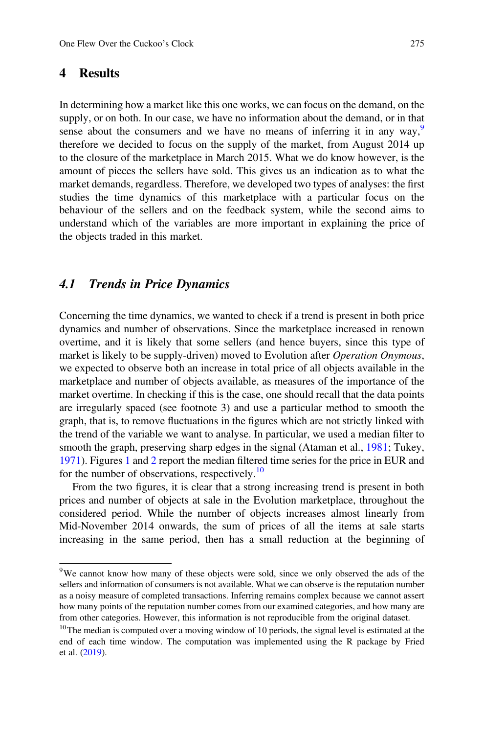### 4 Results

In determining how a market like this one works, we can focus on the demand, on the supply, or on both. In our case, we have no information about the demand, or in that sense about the consumers and we have no means of inferring it in any way.<sup>9</sup> therefore we decided to focus on the supply of the market, from August 2014 up to the closure of the marketplace in March 2015. What we do know however, is the amount of pieces the sellers have sold. This gives us an indication as to what the market demands, regardless. Therefore, we developed two types of analyses: the first studies the time dynamics of this marketplace with a particular focus on the behaviour of the sellers and on the feedback system, while the second aims to understand which of the variables are more important in explaining the price of the objects traded in this market.

### 4.1 Trends in Price Dynamics

Concerning the time dynamics, we wanted to check if a trend is present in both price dynamics and number of observations. Since the marketplace increased in renown overtime, and it is likely that some sellers (and hence buyers, since this type of market is likely to be supply-driven) moved to Evolution after *Operation Onymous*, we expected to observe both an increase in total price of all objects available in the marketplace and number of objects available, as measures of the importance of the market overtime. In checking if this is the case, one should recall that the data points are irregularly spaced (see footnote 3) and use a particular method to smooth the graph, that is, to remove fluctuations in the figures which are not strictly linked with the trend of the variable we want to analyse. In particular, we used a median filter to smooth the graph, preserving sharp edges in the signal (Ataman et al., [1981](#page-16-0); Tukey, [1971\)](#page-17-0). Figures [1](#page-9-0) and [2](#page-9-0) report the median filtered time series for the price in EUR and for the number of observations, respectively.<sup>10</sup>

From the two figures, it is clear that a strong increasing trend is present in both prices and number of objects at sale in the Evolution marketplace, throughout the considered period. While the number of objects increases almost linearly from Mid-November 2014 onwards, the sum of prices of all the items at sale starts increasing in the same period, then has a small reduction at the beginning of

<sup>9</sup>We cannot know how many of these objects were sold, since we only observed the ads of the sellers and information of consumers is not available. What we can observe is the reputation number as a noisy measure of completed transactions. Inferring remains complex because we cannot assert how many points of the reputation number comes from our examined categories, and how many are from other categories. However, this information is not reproducible from the original dataset.

<sup>&</sup>lt;sup>10</sup>The median is computed over a moving window of 10 periods, the signal level is estimated at the end of each time window. The computation was implemented using the R package by Fried et al. [\(2019](#page-16-0)).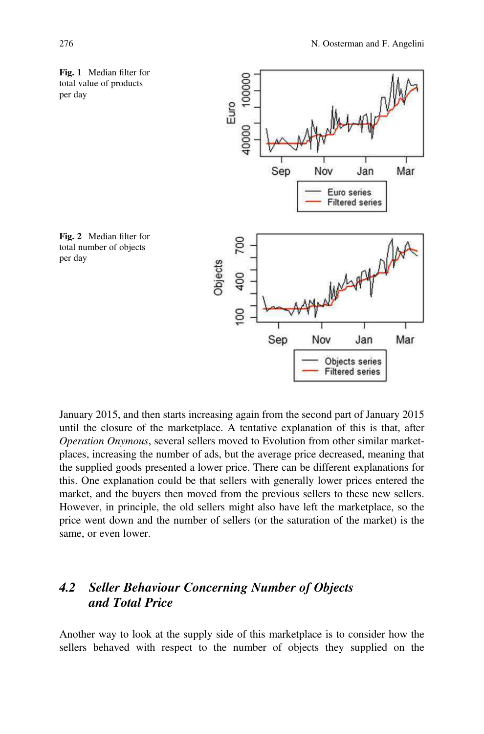<span id="page-9-0"></span>



January 2015, and then starts increasing again from the second part of January 2015 until the closure of the marketplace. A tentative explanation of this is that, after *Operation Onymous*, several sellers moved to Evolution from other similar marketplaces, increasing the number of ads, but the average price decreased, meaning that the supplied goods presented a lower price. There can be different explanations for this. One explanation could be that sellers with generally lower prices entered the market, and the buyers then moved from the previous sellers to these new sellers. However, in principle, the old sellers might also have left the marketplace, so the price went down and the number of sellers (or the saturation of the market) is the same, or even lower.

## 4.2 Seller Behaviour Concerning Number of Objects and Total Price

Another way to look at the supply side of this marketplace is to consider how the sellers behaved with respect to the number of objects they supplied on the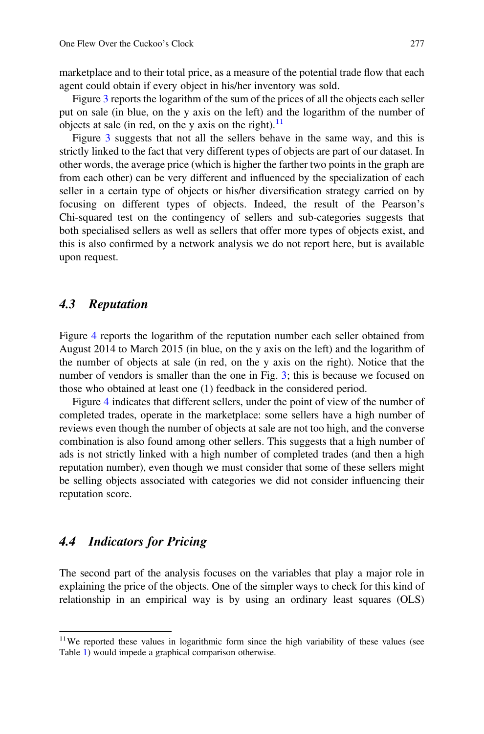marketplace and to their total price, as a measure of the potential trade flow that each agent could obtain if every object in his/her inventory was sold.

Figure [3](#page-11-0) reports the logarithm of the sum of the prices of all the objects each seller put on sale (in blue, on the y axis on the left) and the logarithm of the number of objects at sale (in red, on the y axis on the right).<sup>11</sup>

Figure [3](#page-11-0) suggests that not all the sellers behave in the same way, and this is strictly linked to the fact that very different types of objects are part of our dataset. In other words, the average price (which is higher the farther two points in the graph are from each other) can be very different and influenced by the specialization of each seller in a certain type of objects or his/her diversification strategy carried on by focusing on different types of objects. Indeed, the result of the Pearson's Chi-squared test on the contingency of sellers and sub-categories suggests that both specialised sellers as well as sellers that offer more types of objects exist, and this is also confirmed by a network analysis we do not report here, but is available upon request.

### 4.3 Reputation

Figure [4](#page-12-0) reports the logarithm of the reputation number each seller obtained from August 2014 to March 2015 (in blue, on the y axis on the left) and the logarithm of the number of objects at sale (in red, on the y axis on the right). Notice that the number of vendors is smaller than the one in Fig. [3;](#page-11-0) this is because we focused on those who obtained at least one (1) feedback in the considered period.

Figure [4](#page-12-0) indicates that different sellers, under the point of view of the number of completed trades, operate in the marketplace: some sellers have a high number of reviews even though the number of objects at sale are not too high, and the converse combination is also found among other sellers. This suggests that a high number of ads is not strictly linked with a high number of completed trades (and then a high reputation number), even though we must consider that some of these sellers might be selling objects associated with categories we did not consider influencing their reputation score.

### 4.4 Indicators for Pricing

The second part of the analysis focuses on the variables that play a major role in explaining the price of the objects. One of the simpler ways to check for this kind of relationship in an empirical way is by using an ordinary least squares (OLS)

<sup>&</sup>lt;sup>11</sup>We reported these values in logarithmic form since the high variability of these values (see Table [1\)](#page-6-0) would impede a graphical comparison otherwise.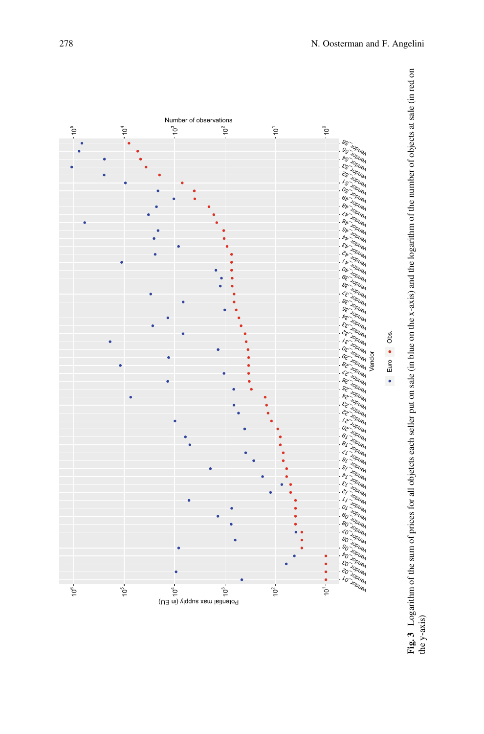<span id="page-11-0"></span>

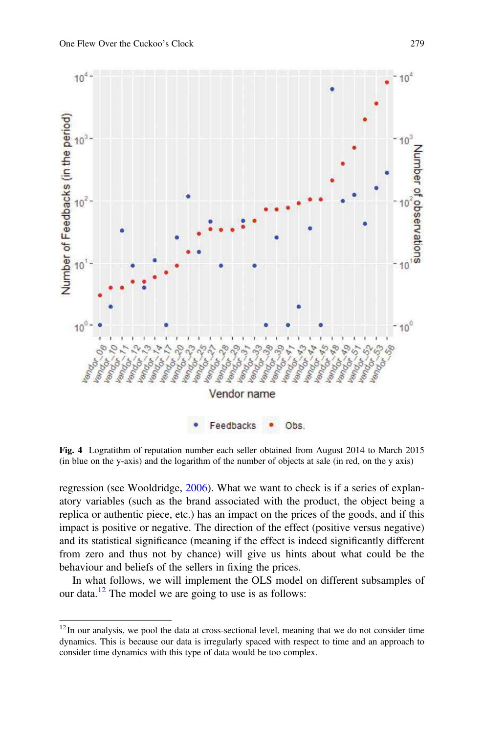<span id="page-12-0"></span>

Fig. 4 Logratithm of reputation number each seller obtained from August 2014 to March 2015 (in blue on the y-axis) and the logarithm of the number of objects at sale (in red, on the y axis)

regression (see Wooldridge, [2006\)](#page-17-0). What we want to check is if a series of explanatory variables (such as the brand associated with the product, the object being a replica or authentic piece, etc.) has an impact on the prices of the goods, and if this impact is positive or negative. The direction of the effect (positive versus negative) and its statistical significance (meaning if the effect is indeed significantly different from zero and thus not by chance) will give us hints about what could be the behaviour and beliefs of the sellers in fixing the prices.

In what follows, we will implement the OLS model on different subsamples of our data.<sup>12</sup> The model we are going to use is as follows:

<sup>&</sup>lt;sup>12</sup>In our analysis, we pool the data at cross-sectional level, meaning that we do not consider time dynamics. This is because our data is irregularly spaced with respect to time and an approach to consider time dynamics with this type of data would be too complex.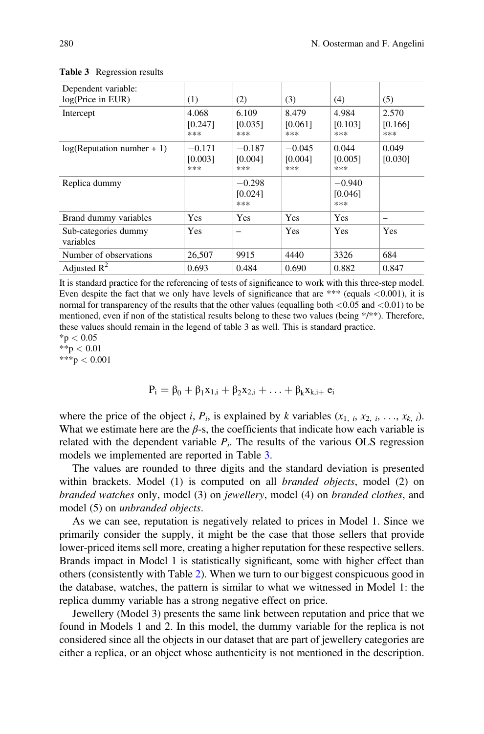| Dependent variable:<br>log(Price in EUR) | (1)                        | (2)                        | (3)                        | (4)                        | (5)                     |
|------------------------------------------|----------------------------|----------------------------|----------------------------|----------------------------|-------------------------|
| Intercept                                | 4.068<br>[0.247]<br>***    | 6.109<br>[0.035]<br>***    | 8.479<br>[0.061]<br>***    | 4.984<br>[0.103]<br>***    | 2.570<br>[0.166]<br>*** |
| $log(Reputation number + 1)$             | $-0.171$<br>[0.003]<br>*** | $-0.187$<br>[0.004]<br>*** | $-0.045$<br>[0.004]<br>*** | 0.044<br>[0.005]<br>***    | 0.049<br>[0.030]        |
| Replica dummy                            |                            | $-0.298$<br>[0.024]<br>*** |                            | $-0.940$<br>[0.046]<br>*** |                         |
| Brand dummy variables                    | Yes                        | <b>Yes</b>                 | <b>Yes</b>                 | <b>Yes</b>                 | -                       |
| Sub-categories dummy<br>variables        | Yes                        |                            | Yes                        | Yes                        | Yes                     |
| Number of observations                   | 26,507                     | 9915                       | 4440                       | 3326                       | 684                     |
| Adjusted $\mathbb{R}^2$                  | 0.693                      | 0.484                      | 0.690                      | 0.882                      | 0.847                   |

#### Table 3 Regression results

It is standard practice for the referencing of tests of significance to work with this three-step model. Even despite the fact that we only have levels of significance that are \*\*\* (equals  $<0.001$ ), it is normal for transparency of the results that the other values (equalling both  $\langle 0.05 \text{ and } \langle 0.01 \rangle$ ) to be mentioned, even if non of the statistical results belong to these two values (being \*/\*\*). Therefore, these values should remain in the legend of table 3 as well. This is standard practice.  $*$ p  $< 0.05$ 

 $**p < 0.01$  $***p < 0.001$ 

 $P_i = \beta_0 + \beta_1 x_{1,i} + \beta_2 x_{2,i} + \ldots + \beta_k x_{k,i+1} e_i$ 

where the price of the object *i*,  $P_i$ , is explained by *k* variables  $(x_{1, i}, x_{2, i}, \ldots, x_{k, i})$ . What we estimate here are the  $\beta$ -s, the coefficients that indicate how each variable is related with the dependent variable  $P_i$ . The results of the various OLS regression models we implemented are reported in Table 3.

The values are rounded to three digits and the standard deviation is presented within brackets. Model (1) is computed on all *branded objects*, model (2) on *branded watches* only, model (3) on *jewellery*, model (4) on *branded clothes*, and model (5) on *unbranded objects*.

As we can see, reputation is negatively related to prices in Model 1. Since we primarily consider the supply, it might be the case that those sellers that provide lower-priced items sell more, creating a higher reputation for these respective sellers. Brands impact in Model 1 is statistically significant, some with higher effect than others (consistently with Table [2](#page-7-0)). When we turn to our biggest conspicuous good in the database, watches, the pattern is similar to what we witnessed in Model 1: the replica dummy variable has a strong negative effect on price.

Jewellery (Model 3) presents the same link between reputation and price that we found in Models 1 and 2. In this model, the dummy variable for the replica is not considered since all the objects in our dataset that are part of jewellery categories are either a replica, or an object whose authenticity is not mentioned in the description.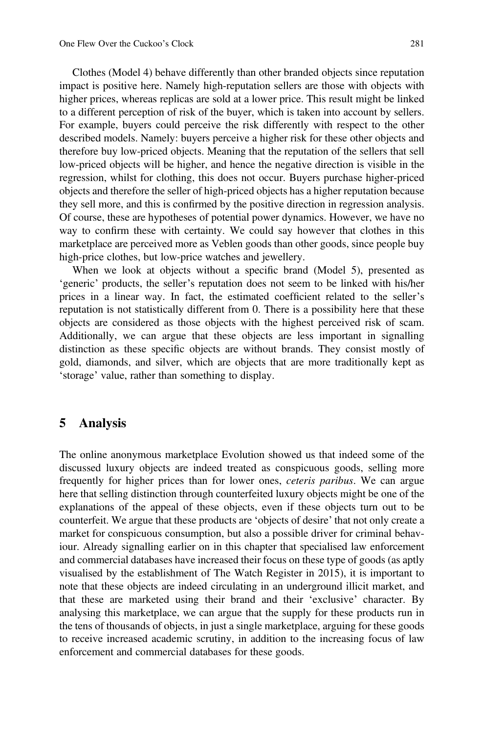Clothes (Model 4) behave differently than other branded objects since reputation impact is positive here. Namely high-reputation sellers are those with objects with higher prices, whereas replicas are sold at a lower price. This result might be linked to a different perception of risk of the buyer, which is taken into account by sellers. For example, buyers could perceive the risk differently with respect to the other described models. Namely: buyers perceive a higher risk for these other objects and therefore buy low-priced objects. Meaning that the reputation of the sellers that sell low-priced objects will be higher, and hence the negative direction is visible in the regression, whilst for clothing, this does not occur. Buyers purchase higher-priced objects and therefore the seller of high-priced objects has a higher reputation because they sell more, and this is confirmed by the positive direction in regression analysis. Of course, these are hypotheses of potential power dynamics. However, we have no way to confirm these with certainty. We could say however that clothes in this marketplace are perceived more as Veblen goods than other goods, since people buy high-price clothes, but low-price watches and jewellery.

When we look at objects without a specific brand (Model 5), presented as 'generic' products, the seller's reputation does not seem to be linked with his/her prices in a linear way. In fact, the estimated coefficient related to the seller's reputation is not statistically different from 0. There is a possibility here that these objects are considered as those objects with the highest perceived risk of scam. Additionally, we can argue that these objects are less important in signalling distinction as these specific objects are without brands. They consist mostly of gold, diamonds, and silver, which are objects that are more traditionally kept as 'storage' value, rather than something to display.

### 5 Analysis

The online anonymous marketplace Evolution showed us that indeed some of the discussed luxury objects are indeed treated as conspicuous goods, selling more frequently for higher prices than for lower ones, *ceteris paribus*. We can argue here that selling distinction through counterfeited luxury objects might be one of the explanations of the appeal of these objects, even if these objects turn out to be counterfeit. We argue that these products are 'objects of desire' that not only create a market for conspicuous consumption, but also a possible driver for criminal behaviour. Already signalling earlier on in this chapter that specialised law enforcement and commercial databases have increased their focus on these type of goods (as aptly visualised by the establishment of The Watch Register in 2015), it is important to note that these objects are indeed circulating in an underground illicit market, and that these are marketed using their brand and their 'exclusive' character. By analysing this marketplace, we can argue that the supply for these products run in the tens of thousands of objects, in just a single marketplace, arguing for these goods to receive increased academic scrutiny, in addition to the increasing focus of law enforcement and commercial databases for these goods.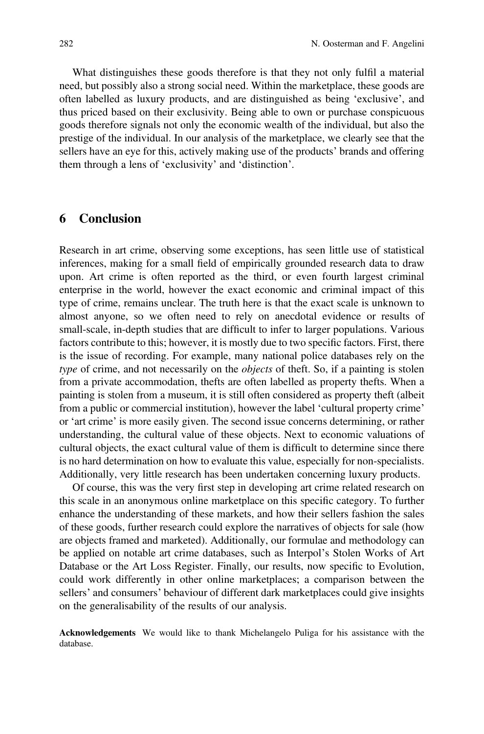What distinguishes these goods therefore is that they not only fulfil a material need, but possibly also a strong social need. Within the marketplace, these goods are often labelled as luxury products, and are distinguished as being 'exclusive', and thus priced based on their exclusivity. Being able to own or purchase conspicuous goods therefore signals not only the economic wealth of the individual, but also the prestige of the individual. In our analysis of the marketplace, we clearly see that the sellers have an eye for this, actively making use of the products' brands and offering them through a lens of 'exclusivity' and 'distinction'.

### 6 Conclusion

Research in art crime, observing some exceptions, has seen little use of statistical inferences, making for a small field of empirically grounded research data to draw upon. Art crime is often reported as the third, or even fourth largest criminal enterprise in the world, however the exact economic and criminal impact of this type of crime, remains unclear. The truth here is that the exact scale is unknown to almost anyone, so we often need to rely on anecdotal evidence or results of small-scale, in-depth studies that are difficult to infer to larger populations. Various factors contribute to this; however, it is mostly due to two specific factors. First, there is the issue of recording. For example, many national police databases rely on the *type* of crime, and not necessarily on the *objects* of theft. So, if a painting is stolen from a private accommodation, thefts are often labelled as property thefts. When a painting is stolen from a museum, it is still often considered as property theft (albeit from a public or commercial institution), however the label 'cultural property crime' or 'art crime' is more easily given. The second issue concerns determining, or rather understanding, the cultural value of these objects. Next to economic valuations of cultural objects, the exact cultural value of them is difficult to determine since there is no hard determination on how to evaluate this value, especially for non-specialists. Additionally, very little research has been undertaken concerning luxury products.

Of course, this was the very first step in developing art crime related research on this scale in an anonymous online marketplace on this specific category. To further enhance the understanding of these markets, and how their sellers fashion the sales of these goods, further research could explore the narratives of objects for sale (how are objects framed and marketed). Additionally, our formulae and methodology can be applied on notable art crime databases, such as Interpol's Stolen Works of Art Database or the Art Loss Register. Finally, our results, now specific to Evolution, could work differently in other online marketplaces; a comparison between the sellers' and consumers' behaviour of different dark marketplaces could give insights on the generalisability of the results of our analysis.

Acknowledgements We would like to thank Michelangelo Puliga for his assistance with the database.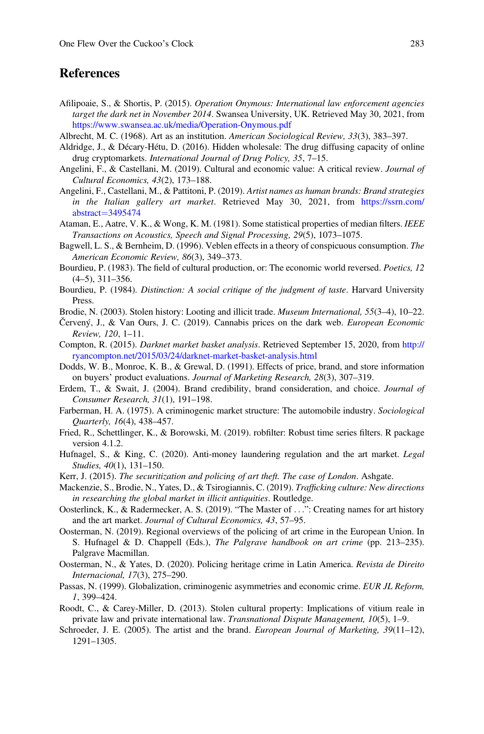### <span id="page-16-0"></span>**References**

- Afilipoaie, S., & Shortis, P. (2015). *Operation Onymous: International law enforcement agencies target the dark net in November 2014*. Swansea University, UK. Retrieved May 30, 2021, from <https://www.swansea.ac.uk/media/Operation-Onymous.pdf>
- Albrecht, M. C. (1968). Art as an institution. *American Sociological Review, 33*(3), 383–397.
- Aldridge, J., & Décary-Hétu, D. (2016). Hidden wholesale: The drug diffusing capacity of online drug cryptomarkets. *International Journal of Drug Policy, 35*, 7–15.
- Angelini, F., & Castellani, M. (2019). Cultural and economic value: A critical review. *Journal of Cultural Economics, 43*(2), 173–188.
- Angelini, F., Castellani, M., & Pattitoni, P. (2019). *Artist names as human brands: Brand strategies in the Italian gallery art market*. Retrieved May 30, 2021, from [https://ssrn.com/](https://ssrn.com/abstract=3495474) [abstract](https://ssrn.com/abstract=3495474) $=$ [3495474](https://ssrn.com/abstract=3495474)
- Ataman, E., Aatre, V. K., & Wong, K. M. (1981). Some statistical properties of median filters. *IEEE Transactions on Acoustics, Speech and Signal Processing, 29*(5), 1073–1075.
- Bagwell, L. S., & Bernheim, D. (1996). Veblen effects in a theory of conspicuous consumption. *The American Economic Review, 86*(3), 349–373.
- Bourdieu, P. (1983). The field of cultural production, or: The economic world reversed. *Poetics, 12* (4–5), 311–356.
- Bourdieu, P. (1984). *Distinction: A social critique of the judgment of taste*. Harvard University Press.
- Brodie, N. (2003). Stolen history: Looting and illicit trade. *Museum International, 55*(3–4), 10–22.
- Červený, J., & Van Ours, J. C. (2019). Cannabis prices on the dark web. *European Economic Review, 120*, 1–11.
- Compton, R. (2015). *Darknet market basket analysis*. Retrieved September 15, 2020, from [http://](http://ryancompton.net/2015/03/24/darknet-market-basket-analysis.html) [ryancompton.net/2015/03/24/darknet-market-basket-analysis.html](http://ryancompton.net/2015/03/24/darknet-market-basket-analysis.html)
- Dodds, W. B., Monroe, K. B., & Grewal, D. (1991). Effects of price, brand, and store information on buyers' product evaluations. *Journal of Marketing Research, 28*(3), 307–319.
- Erdem, T., & Swait, J. (2004). Brand credibility, brand consideration, and choice. *Journal of Consumer Research, 31*(1), 191–198.
- Farberman, H. A. (1975). A criminogenic market structure: The automobile industry. *Sociological Quarterly, 16*(4), 438–457.
- Fried, R., Schettlinger, K., & Borowski, M. (2019). robfilter: Robust time series filters. R package version 4.1.2.
- Hufnagel, S., & King, C. (2020). Anti-money laundering regulation and the art market. *Legal Studies, 40*(1), 131–150.
- Kerr, J. (2015). *The securitization and policing of art theft. The case of London*. Ashgate.
- Mackenzie, S., Brodie, N., Yates, D., & Tsirogiannis, C. (2019). *Traf*fi*cking culture: New directions in researching the global market in illicit antiquities*. Routledge.
- Oosterlinck, K., & Radermecker, A. S. (2019). "The Master of ...": Creating names for art history and the art market. *Journal of Cultural Economics, 43*, 57–95.
- Oosterman, N. (2019). Regional overviews of the policing of art crime in the European Union. In S. Hufnagel & D. Chappell (Eds.), *The Palgrave handbook on art crime* (pp. 213–235). Palgrave Macmillan.
- Oosterman, N., & Yates, D. (2020). Policing heritage crime in Latin America. *Revista de Direito Internacional, 17*(3), 275–290.
- Passas, N. (1999). Globalization, criminogenic asymmetries and economic crime. *EUR JL Reform, 1*, 399–424.
- Roodt, C., & Carey-Miller, D. (2013). Stolen cultural property: Implications of vitium reale in private law and private international law. *Transnational Dispute Management, 10*(5), 1–9.
- Schroeder, J. E. (2005). The artist and the brand. *European Journal of Marketing, 39*(11–12), 1291–1305.